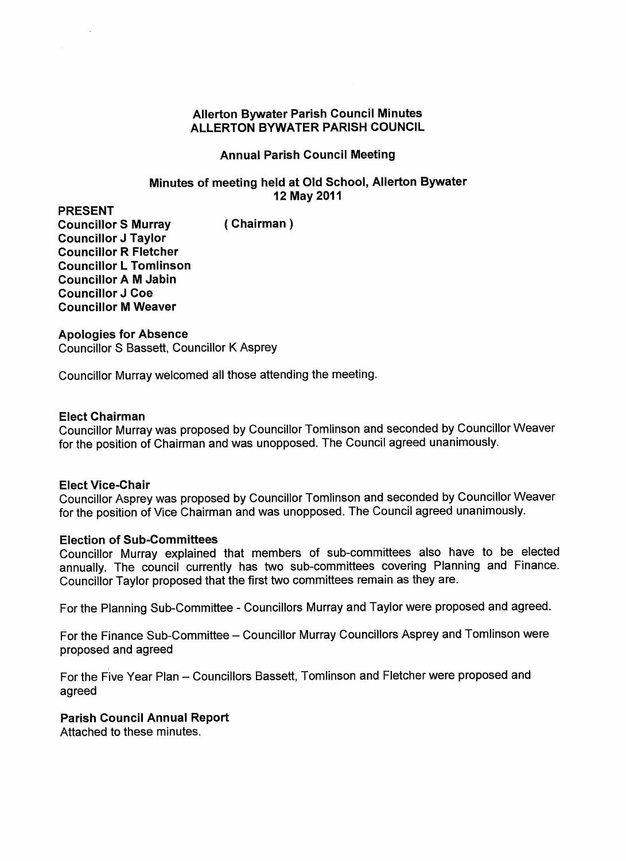## **Allerton Bywater Parish Council Minutes ALLERTON BYWATER PARISH COUNCIL**

## **Annual Parish Council Meeting**

## **Minutes of meeting held at Old School, Allerton Bywater 12 May 2011**

**PRESENT Councillor S Murray (Chairman) Councillor J Taylor Councillor R Fletcher Councillor L Tomlinson Councillor A M Jabin Councillor J Coe Councillor M Weaver**

### **Apologies for Absence**

Councillor S Bassett, Councillor K Asprey

Councillor Murray welcomed all those attending the meeting.

### **Elect Chairman**

Councillor Murray was proposed by Councillor Tomlinson and seconded by Councillor Weaver for the position of Chairman and was unopposed. The Council agreed unanimously.

## **Elect Vice-Chair**

Councillor Asprey was proposed by Councillor Tomlinson and seconded by Councillor Weaver for the position of Vice Chairman and was unopposed. The Council agreed unanimously.

#### **Election of Sub-Committees**

Councillor Murray explained that members of sub-committees also have to be elected annually. The council currently has two sub-committees covering Planning and Finance. Councillor Taylor proposed that the first two committees remain as they are.

For the Planning Sub-Committee - Councillors Murray and Taylor were proposed and agreed.

For the Finance Sub-Committee – Councillor Murray Councillors Asprey and Tomlinson were proposed and agreed

For the Five Year Plan - Councillors Bassett, Tomlinson and Fletcher were proposed and agreed

## **Parish Council Annual Report**

Attached to these minutes.